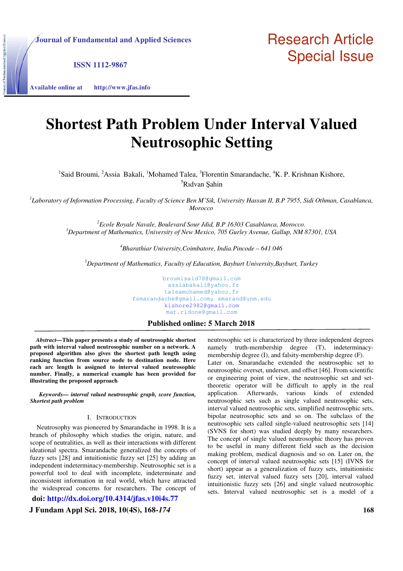**ISSN 1112-9867** 

**Available online at http://www.jfas.info**

and Applied So

# **Shortest Path Problem Under Interval Valued Neutrosophic Setting**

<sup>1</sup>Said Broumi, <sup>2</sup>Assia Bakali, <sup>1</sup>Mohamed Talea, <sup>3</sup>Florentin Smarandache, <sup>4</sup>K. P. Krishnan Kishore, <sup>5</sup>Ridvan Sahin

*1 Laboratory of Information Processing, Faculty of Science Ben M'Sik, University Hassan II, B.P 7955, Sidi Othman, Casablanca, Morocco* 

*<sup>2</sup>Ecole Royale Navale, Boulevard Sour Jdid, B.P 16303 Casablanca, Morocco. <sup>3</sup>Department of Mathematics, University of New Mexico, 705 Gurley Avenue, Gallup, NM 87301, USA* 

*<sup>4</sup>Bharathiar University,Coimbatore, India.Pincode – 641 046* 

*<sup>5</sup>Department of Mathematics, Faculty of Education, Bayburt University,Bayburt, Turkey* 

broumisaid78@gmail.com assiabakali@yahoo.fr taleamohamed@yahoo.fr fsmarandache@gmail.com; smarand@unm.edu kishore2982@gmail.com mat.ridone@gmail.com

# **Published online: 5 March 2018**

 *Abstract***—This paper presents a study of neutrosophic shortest path with interval valued neutrosophic number on a network. A proposed algorithm also gives the shortest path length using ranking function from source node to destination node. Here each arc length is assigned to interval valued neutrosophic number. Finally, a numerical example has been provided for illustrating the proposed approach** 

*Keywords— interval valued neutrosophic graph, score function, Shortest path problem* 

#### I. INTRODUCTION

 Neutrosophy was pioneered by Smarandache in 1998. It is a branch of philosophy which studies the origin, nature, and scope of neutralities, as well as their interactions with different ideational spectra. Smarandache generalized the concepts of fuzzy sets [28] and intuitionistic fuzzy set [25] by adding an independent indeterminacy-membership. Neutrosophic set is a powerful tool to deal with incomplete, indeterminate and inconsistent information in real world, which have attracted the widespread concerns for researchers. The concept of

**doi: http://dx.doi.org/10.4314/jfas.v10i4s.77**

**J Fundam Appl Sci. 2018, 10(4S), 168-***174* **168** 

neutrosophic set is characterized by three independent degrees namely truth-membership degree (T), indeterminacymembership degree (I), and falsity-membership degree (F). Later on, Smarandache extended the neutrosophic set to neutrosophic overset, underset, and offset [46]. From scientific or engineering point of view, the neutrosophic set and settheoretic operator will be difficult to apply in the real application. Afterwards, various kinds of extended neutrosophic sets such as single valued neutrosophic sets, interval valued neutrosophic sets, simplified neutrosophic sets, bipolar neutrosophic sets and so on. The subclass of the neutrosophic sets called single-valued neutrosophic sets [14] (SVNS for short) was studied deeply by many researchers. The concept of single valued neutrosophic theory has proven to be useful in many different field such as the decision making problem, medical diagnosis and so on. Later on, the concept of interval valued neutrosophic sets [15] (IVNS for short) appear as a generalization of fuzzy sets, intuitionistic fuzzy set, interval valued fuzzy sets [20], interval valued intuitionistic fuzzy sets [26] and single valued neutrosophic sets. Interval valued neutrosophic set is a model of a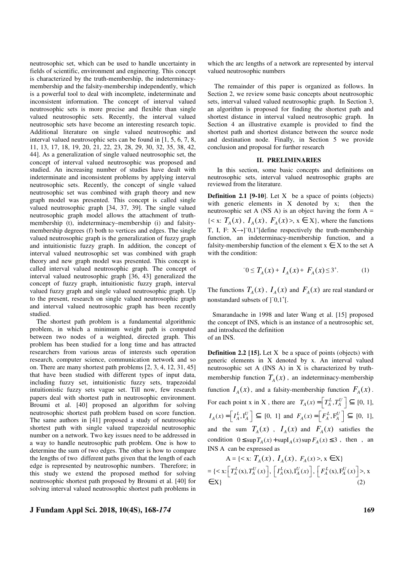neutrosophic set, which can be used to handle uncertainty in fields of scientific, environment and engineering. This concept is characterized by the truth-membership, the indeterminacymembership and the falsity-membership independently, which is a powerful tool to deal with incomplete, indeterminate and inconsistent information. The concept of interval valued neutrosophic sets is more precise and flexible than single valued neutrosophic sets. Recently, the interval valued neutrosophic sets have become an interesting research topic. Additional literature on single valued neutrosophic and interval valued neutrosophic sets can be found in [1, 5, 6, 7, 8, 11, 13, 17, 18, 19, 20, 21, 22, 23, 28, 29, 30, 32, 35, 38, 42, 44]. As a generalization of single valued neutrosophic set, the concept of interval valued neutrosophic was proposed and studied. An increasing number of studies have dealt with indeterminate and inconsistent problems by applying interval neutrosophic sets. Recently, the concept of single valued neutrosophic set was combined with graph theory and new graph model was presented. This concept is called single valued neutrosophic graph [34, 37, 39]. The single valued neutrosophic graph model allows the attachment of truthmembership (t), indeterminacy–membership (i) and falsitymembership degrees (f) both to vertices and edges. The single valued neutrosophic graph is the generalization of fuzzy graph and intuitionistic fuzzy graph. In addition, the concept of interval valued neutrosophic set was combined with graph theory and new graph model was presented. This concept is called interval valued neutrosophic graph. The concept of interval valued neutrosophic graph [36, 43] generalized the concept of fuzzy graph, intuitionistic fuzzy graph, interval valued fuzzy graph and single valued neutrosophic graph. Up to the present, research on single valued neutrosophic graph and interval valued neutrosophic graph has been recently studied.

 The shortest path problem is a fundamental algorithmic problem, in which a minimum weight path is computed between two nodes of a weighted, directed graph. This problem has been studied for a long time and has attracted researchers from various areas of interests such operation research, computer science, communication network and so on. There are many shortest path problems [2, 3, 4, 12, 31, 45] that have been studied with different types of input data, including fuzzy set, intuitionistic fuzzy sets, trapezoidal intuitionistic fuzzy sets vague set. Till now, few research papers deal with shortest path in neutrosophic environment. Broumi et al. [40] proposed an algorithm for solving neutrosophic shortest path problem based on score function. The same authors in [41] proposed a study of neutrosophic shortest path with single valued trapezoidal neutrosophic number on a network. Two key issues need to be addressed in a way to handle neutrosophic path problem. One is how to determine the sum of two edges. The other is how to compare the lengths of two different paths given that the length of each edge is represented by neutrosophic numbers. Therefore; in this study we extend the proposed method for solving neutrosophic shortest path proposed by Broumi et al. [40] for solving interval valued neutrosophic shortest path problems in

# **J Fundam Appl Sci. 2018, 10(4S), 168-***174* **169**

which the arc lengths of a network are represented by interval valued neutrosophic numbers

 The remainder of this paper is organized as follows. In Section 2, we review some basic concepts about neutrosophic sets, interval valued valued neutrosophic graph. In Section 3, an algorithm is proposed for finding the shortest path and shortest distance in interval valued neutrosophic graph. In Section 4 an illustrative example is provided to find the shortest path and shortest distance between the source node and destination node. Finally, in Section 5 we provide conclusion and proposal for further research

## **II. PRELIMINARIES**

In this section, some basic concepts and definitions on neutrosophic sets, interval valued neutrosophic graphs are reviewed from the literature.

**Definition 2.1 [9-10]**. Let X be a space of points (objects) with generic elements in X denoted by x; then the neutrosophic set A (NS A) is an object having the form  $A =$  $\{ \langle x, Y \rangle, I_A(x), I_A(x), I_A(x), x \in X \}$ , where the functions T, I, F:  $X \rightarrow 0^-$ ,1<sup>+</sup>[define respectively the truth-membership function, an indeterminacy-membership function, and a falsity-membership function of the element  $x \in X$  to the set A with the condition:

$$
0 \le T_A(x) + I_A(x) + F_A(x) \le 3^+.
$$
 (1)

The functions  $T_A(x)$ ,  $I_A(x)$  and  $F_A(x)$  are real standard or nonstandard subsets of ]<sup>-</sup>0,1<sup>+</sup>[.

 Smarandache in 1998 and later Wang et al. [15] proposed the concept of INS, which is an instance of a neutrosophic set, and introduced the definition of an INS.

**Definition 2.2 [15].** Let X be a space of points (objects) with generic elements in X denoted by x. An interval valued neutrosophic set A (INS A) in X is characterized by truthmembership function  $T_A(x)$ , an indeterminacy-membership function  $I_A(x)$ , and a falsity-membership function  $F_A(x)$ . For each point x in X, there are  $T_A(x) = \begin{bmatrix} T_A^L, T_A^U \end{bmatrix} \subseteq [0, 1],$  $I_A(x) = \left[ I_A^L, I_A^U \right] \subseteq [0, 1]$  and  $F_A(x) = \left[ F_A^L, F_A^U \right] \subseteq [0, 1]$ , and the sum  $T_A(x)$ ,  $I_A(x)$  and  $F_A(x)$  satisfies the condition  $0 \leq \sup T_A(x) + \sup I_A(x) \sup F_A(x) \leq 3$ , then, an INS A can be expressed as

$$
A = \{ \langle x: T_A(x), I_A(x), F_A(x) \rangle, x \in X \}
$$
  
= \{ \langle x: [T\_A^L(x), T\_A^U(x)], [I\_A^L(x), I\_A^U(x)], [F\_A^L(x), F\_A^U(x)] \rangle, x \in X \} (2)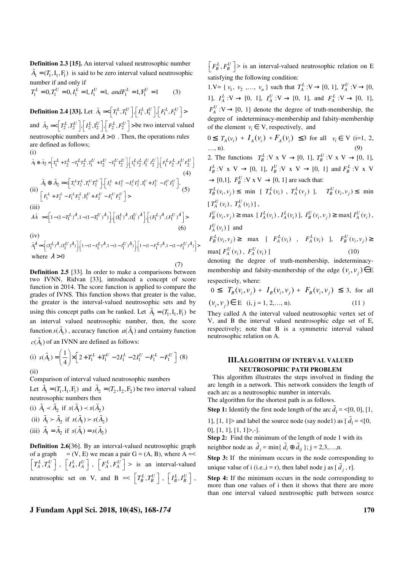**Definition 2.3 [15].** An interval valued neutrosophic number  $\tilde{A}_1 = (T_1, I_1, F_1)$  is said to be zero interval valued neutrosophic number if and only if

$$
T_1^L = 0, T_1^U = 0, I_1^L = 1, I_1^U = 1, \ and F_1^L = 1, F_1^U = 1
$$
 (3)

**Definition 2.4 [33].** Let  $\tilde{A}_1 \ll \left[T_1^L, T_1^U\right], \left[T_1^L, I_1^U\right], \left[F_1^L, F_1^U\right]$ and  $\tilde{A}_2 = \left[T_2^L, T_2^U\right], \left[T_2^L, I_2^U\right], \left[F_2^L, F_2^U\right] >$  be two interval valued neutrosophic numbers and  $\lambda > 0$ . Then, the operations rules are defined as follows; (i)

$$
\tilde{A}_{1} \oplus \tilde{A}_{2} = \left[ T_{1}^{L} + T_{2}^{L} - T_{1}^{L} T_{2}^{L}, T_{1}^{U} + T_{2}^{U} - T_{1}^{U} T_{2}^{U} \right] \cdot \left[ T_{1}^{L} T_{2}^{L}, T_{1}^{U} T_{2}^{U} \right] \cdot \left[ F_{1}^{L} F_{2}^{L}, F_{1}^{U} F_{2}^{U} \right]
$$
\n(4)  
\n
$$
\tilde{A}_{1} \otimes \tilde{A}_{2} = \left[ T_{1}^{L} T_{2}^{L}, T_{1}^{U} T_{2}^{U} \right] \cdot \left[ T_{1}^{L} + T_{2}^{L} - T_{1}^{L} T_{2}^{L}, T_{1}^{U} + T_{2}^{U} - T_{1}^{U} T_{2}^{U} \right],
$$
\n(4)  
\n(ii)  
\n
$$
\left[ F_{1}^{L} + F_{2}^{L} - F_{1}^{L} F_{2}^{L}, F_{1}^{U} + F_{2}^{U} - F_{1}^{U} F_{2}^{U} \right] >
$$
\n(iii)  
\n
$$
\lambda \tilde{A} = \left[ 1 - (1 - T_{1}^{L})^{\lambda}, 1 - (1 - T_{1}^{U})^{\lambda} \right], \left[ (T_{1}^{L})^{\lambda}, (T_{1}^{U})^{\lambda} \right], \left[ (F_{1}^{L})^{\lambda}, (F_{1}^{U})^{\lambda} \right] >
$$
\n(6)

 $(iv)$  $\tilde{A}_1^{\tilde{\mathcal{A}}}$   $\ll$   $\left[(T_1^{L})^{\tilde{\mathcal{A}}},(T_1^{U})^{\tilde{\mathcal{A}}})\right], \left[1-(1-I_1^{L})^{\tilde{\mathcal{A}}},1-(1-I_1^{U})^{\tilde{\mathcal{A}}})\right], \left[1-(1-F_1^{L})^{\tilde{\mathcal{A}}},1-(1-F_1^{U})^{\tilde{\mathcal{A}}})\right]$ where  $\lambda > 0$ (7)

**Definition 2.5** [33]. In order to make a comparisons between two IVNN, Ridvan [33], introduced a concept of score function in 2014. The score function is applied to compare the grades of IVNS. This function shows that greater is the value, the greater is the interval-valued neutrosophic sets and by using this concept paths can be ranked. Let  $A_1 = (T_1, I_1, F_1)$  be an interval valued neutrosophic number, then, the score function  $s(\tilde{A}_{1})$ , accuracy function  $a(\tilde{A}_{1})$  and certainty function  $c(\tilde{A}_{1})$  of an IVNN are defined as follows:

(i) 
$$
s(\tilde{A}_1) = \left(\frac{1}{4}\right) \times \left[2 + T_1^L + T_1^U - 2I_1^L - 2I_1^U - F_1^L - F_1^U\right]
$$
 (8)  
(ii)

Comparison of interval valued neutrosophic numbers

Let  $\tilde{A}_1 = (T_1, I_1, F_1)$  and  $\tilde{A}_2 = (T_2, I_2, F_2)$  be two interval valued neutrosophic numbers then

(i) 
$$
\tilde{A}_1 \prec \tilde{A}_2
$$
 if  $s(\tilde{A}_1) \prec s(\tilde{A}_2)$   
\n(ii)  $\tilde{A}_1 \succ \tilde{A}_2$  if  $s(\tilde{A}_1) \succ s(\tilde{A}_2)$   
\n(iii)  $\tilde{A}_1 = \tilde{A}_2$  if  $s(\tilde{A}_1) = s(\tilde{A}_2)$ 

**Definition 2.6**[36]. By an interval-valued neutrosophic graph of a graph  $= (V, E)$  we mean a pair  $G = (A, B)$ , where A =<  $\left[T_A^L, T_A^U\right]$ ,  $\left[I_A^L, I_A^U\right]$ ,  $\left[F_A^L, F_A^U\right]$  is an interval-valued neutrosophic set on V, and B =<  $\left[T_B^L, T_B^U\right]$ ,  $\left[I_B^L, I_B^U\right]$ ,

 $\left[F_B^L, F_B^U\right]$  is an interval-valued neutrosophic relation on E satisfying the following condition:

1.V= { $v_1, v_2, ..., v_n$ } such that  $T_A^L: V \to [0, 1], T_A^U: V \to [0,$ 1],  $I_A^L: V \to [0, 1]$ ,  $I_A^U: V \to [0, 1]$ , and  $F_A^L: V \to [0, 1]$ ,  $F_A^U$  :  $V \rightarrow [0, 1]$  denote the degree of truth-membership, the degree of indeterminacy-membership and falsity-membership of the element  $v_i \in V$ , respectively, and  $0 \leq T_A(v_i) + I_A(v_i) + F_A(v_i) \leq 3$  for all  $v_i \in V$  (i=1, 2,  $..., n).$  (9) 2. The functions  $T_B^L: V \times V \to [0, 1], T_B^U: V \times V \to [0, 1],$  $I_B^L: V \times V \rightarrow [0, 1], I_B^U: V \times V \rightarrow [0, 1]$  and  $F_B^L: V \times V$ 

 $\rightarrow$  [0,1],  $F_B^U$  : V x V  $\rightarrow$  [0, 1] are such that:

 $T_B^L(v_i, v_j) \le \text{min}$  [  $T_A^L(v_i)$ ,  $T_A^L(v_j)$ ],  $T_B^U(v_i, v_j) \le \text{min}$  $[T_A^U(v_i), T_A^U(v_i)]$ ,

$$
I_B^U(v_i, v_j) \ge \max [I_A^L(v_i), I_A^L(v_i)], I_B^U(v_i, v_j) \ge \max [I_A^U(v_i)],
$$
  
 $I_A^U(v_i)]$  and

$$
F_B^L(v_i, v_j) \ge \max \left[ F_A^L(v_i) , F_A^L(v_i) \right], F_B^U(v_i, v_j) \ge \max \left[ F_A^U(v_i) , F_A^U(v_i) \right] \tag{10}
$$

denoting the degree of truth-membership, indeterminacymembership and falsity-membership of the edge  $(v_i, v_j) \in E$ respectively, where:

$$
0 \leq T_B(v_i, v_j) + I_B(v_i, v_j) + F_B(v_i, v_j) \leq 3, \text{ for all } (v_i, v_j) \in E \quad (i, j = 1, 2, \dots, n). \tag{11}
$$

They called A the interval valued neutrosophic vertex set of V, and B the interval valued neutrosophic edge set of E, respectively; note that B is a symmetric interval valued neutrosophic relation on A.

# **III.ALGORITHM OF INTERVAL VALUED NEUTROSOPHIC PATH PROBLEM**

 This algorithm illustrates the steps involved in finding the arc length in a network. This network considers the length of each arc as a neutrosophic number in intervals. The algorithm for the shortest path is as follows.

**Step 1:** Identify the first node length of the arc  $\tilde{d}_1 = \langle 0, 0 \rangle, [1, 1]$ 

1], [1, 1]> and label the source node (say node1) as  $[\tilde{d}_1 = \leq 0,$ 0], [1, 1], [1, 1]>,-].

**Step 2:** Find the minimum of the length of node 1 with its neighbor node as  $\tilde{d}_j = \min{\{\tilde{d}_i \oplus \tilde{d}_{ij}\}}; j = 2, 3, \ldots, n$ .

**Step 3:** If the minimum occurs in the node corresponding to unique value of i (i.e.,i = r), then label node j as  $[\tilde{d}_j, r]$ .

**Step 4:** If the minimum occurs in the node corresponding to more than one values of i then it shows that there are more than one interval valued neutrosophic path between source

# **J Fundam Appl Sci. 2018, 10(4S), 168-***174* **170**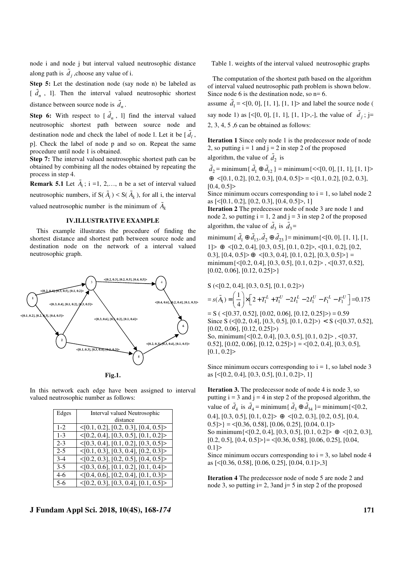node i and node j but interval valued neutrosophic distance along path is  $\tilde{d}_j$ , choose any value of i.

**Step 5:** Let the destination node (say node n) be labeled as  $[\tilde{d}_n, 1]$ . Then the interval valued neutrosophic shortest distance between source node is  $\tilde{d}_n$ .

**Step 6:** With respect to  $\left[\tilde{d}_n, 1\right]$  find the interval valued neutrosophic shortest path between source node and destination node and check the label of node l. Let it be  $\left[\tilde{d}_l, \right]$ p]. Check the label of node p and so on. Repeat the same procedure until node 1 is obtained.

**Step 7:** The interval valued neutrosophic shortest path can be obtained by combining all the nodes obtained by repeating the process in step 4.

**Remark 5.1** Let  $\tilde{A}_i$ ; i =1, 2,..., n be a set of interval valued neutrosophic numbers, if  $S(\tilde{A}_i) < S(\tilde{A}_k)$ , for all i, the interval valued neutrosophic number is the minimum of  $\tilde{A}_k$ 

## **IV.ILLUSTRATIVE EXAMPLE**

 This example illustrates the procedure of finding the shortest distance and shortest path between source node and destination node on the network of a interval valued neutrosophic graph.



In this network each edge have been assigned to interval valued neutrosophic number as follows:

| Edges   | <b>Interval valued Neutrosophic</b>            |
|---------|------------------------------------------------|
|         | distance                                       |
| $1 - 2$ | $\leq$ [0.1, 0.2], [0.2, 0.3], [0.4, 0.5]>     |
| $1 - 3$ | $\langle 0.2, 0.4, 0.3, 0.5, 0.1, 0.2 \rangle$ |
| $2 - 3$ | $\langle 0.3, 0.4, 0.1, 0.2, 0.3, 0.5 \rangle$ |
| $2 - 5$ | $\leq$ [0.1, 0.3], [0.3, 0.4], [0.2, 0.3]>     |
| $3-4$   | $\langle 0.2, 0.3, 0.2, 0.5, 0.4, 0.5 \rangle$ |
| $3 - 5$ | $\langle 0.3, 0.6, 0.1, 0.2, 0.1, 0.4 \rangle$ |
| $4-6$   | $\leq$ [0.4, 0.6], [0.2, 0.4], [0.1, 0.3]>     |
| $5-6$   | $\langle 0.2, 0.3, 0.3, 0.4, 0.1, 0.5 \rangle$ |

# **J Fundam Appl Sci. 2018, 10(4S), 168-***174* **171**

Table 1. weights of the interval valued neutrosophic graphs

 The computation of the shortest path based on the algorithm of interval valued neutrosophic path problem is shown below. Since node 6 is the destination node, so  $n=6$ .

assume  $\tilde{d}_1 = \langle [0, 0], [1, 1], [1, 1] \rangle$  and label the source node ( say node 1) as  $\left[ \leq [0, 0], [1, 1], [1, 1] \right]$ , the value of  $\tilde{d}_j$ ; j= 2, 3, 4, 5 ,6 can be obtained as follows:

**Iteration 1** Since only node 1 is the predecessor node of node 2, so putting  $i = 1$  and  $j = 2$  in step 2 of the proposed algorithm, the value of  $\tilde{d}_2$  is

 $\tilde{d}_2$  = minimum{  $\tilde{d}_1 \oplus \tilde{d}_{12}$  } = minimum{ <<[0, 0], [1, 1], [1, 1]> ⊕ <[0.1, 0.2], [0.2, 0.3], [0.4, 0.5]> = <[0.1, 0.2], [0.2, 0.3],  $[0.4, 0.5]$ 

Since minimum occurs corresponding to  $i = 1$ , so label node 2 as [<[0.1, 0.2], [0.2, 0.3], [0.4, 0.5]>, 1]

**Iteration 2** The predecessor node of node 3 are node 1 and node 2, so putting  $i = 1, 2$  and  $j = 3$  in step 2 of the proposed algorithm, the value of  $\tilde{d}_3$  is  $\tilde{d}_3$  =

 $\text{minimum} \{ \tilde{d}_1 \oplus \tilde{d}_{13}, \tilde{d}_2 \oplus \tilde{d}_{23} \} = \text{minimum} \{ \leq 0, 0 \}, [1, 1], [1,$  $1]$   $\geq$   $\oplus$   $\leq$  [0.2, 0.4], [0.3, 0.5], [0.1, 0.2]  $\geq$ ,  $\leq$  [0.1, 0.2], [0.2, 0.3],  $[0.4, 0.5] > \oplus \langle [0.3, 0.4], [0.1, 0.2], [0.3, 0.5] \rangle$  = minimum $\{<[0.2, 0.4], [0.3, 0.5], [0.1, 0.2]>, <[0.37, 0.52],$  $[0.02, 0.06], [0.12, 0.25]$ 

$$
S (\langle [0.2, 0.4], [0.3, 0.5], [0.1, 0.2] \rangle)
$$
  
=  $s(\tilde{A}_1) = \left(\frac{1}{4}\right) \times \left[2 + T_1^L + T_1^U - 2I_1^L - 2I_1^U - F_1^L - F_1^U\right] = 0.175$   
= S (\langle [0.37, 0.52], [0.02, 0.06], [0.12, 0.25] \rangle) = 0.59  
Since S (\langle [0.2, 0.4], [0.3, 0.5], [0.1, 0.2] \rangle) < S (\langle [0.37, 0.52], [0.02, 0.06], [0.12, 0.25] \rangle)  
So, minimum\{\langle [0.2, 0.4], [0.3, 0.5], [0.1, 0.2] \rangle, \langle [0.37, 0.52], [0.02, 0.06], [0.12, 0.25] \rangle\} = \langle [0.2, 0.4], [0.3, 0.5], [0.1, 0.2] \rangle

Since minimum occurs corresponding to  $i = 1$ , so label node 3 as [<[0.2, 0.4], [0.3, 0.5], [0.1, 0.2]>, 1]

**Iteration 3.** The predecessor node of node 4 is node 3, so putting  $i = 3$  and  $j = 4$  in step 2 of the proposed algorithm, the value of  $\tilde{d}_4$  is  $\tilde{d}_4$  = minimum{  $\tilde{d}_3 \oplus \tilde{d}_{34}$  }= minimum{ <[0.2, 0.4],  $[0.3, 0.5]$ ,  $[0.1, 0.2] > \oplus \langle [0.2, 0.3]$ ,  $[0.2, 0.5]$ ,  $[0.4, 0.5]$  $|0.5|$  = <[0.36, 0.58], [0.06, 0.25], [0.04, 0.1] > So minimum $\{<[0.2, 0.4], [0.3, 0.5], [0.1, 0.2]>\oplus <[0.2, 0.3],\}$  $[0.2, 0.5], [0.4, 0.5] \geq \{0.36, 0.58\}, [0.06, 0.25], [0.04, 0.56]$  $0.1$ ] $>$ Since minimum occurs corresponding to  $i = 3$ , so label node 4 as [<[0.36, 0.58], [0.06, 0.25], [0.04, 0.1]>,3]

**Iteration 4** The predecessor node of node 5 are node 2 and node 3, so putting  $i=2$ , 3 and  $i=5$  in step 2 of the proposed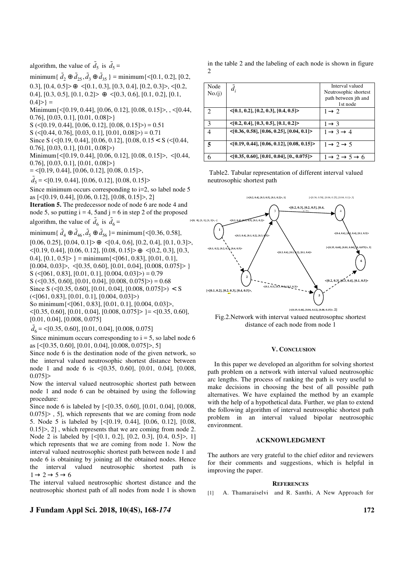algorithm, the value of  $\tilde{d}_5$  is  $\tilde{d}_5$  =

minimum{  $\tilde{d}_2 \oplus \tilde{d}_{25}, \tilde{d}_3 \oplus \tilde{d}_{35}$  } = minimum{<[0.1, 0.2], [0.2, 0.3],  $[0.4, 0.5] > \oplus \langle [0.1, 0.3], [0.3, 0.4], [0.2, 0.3] \rangle, \langle [0.2, 0.4], [0.2, 0.3] \rangle$ 0.4],  $[0.3, 0.5]$ ,  $[0.1, 0.2] > \oplus \langle 0.3, 0.6]$ ,  $[0.1, 0.2]$ ,  $[0.1, 0.3]$  $0.4$ ] > } =

Minimum{<[0.19, 0.44], [0.06, 0.12], [0.08, 0.15]>, , <[0.44, 0.76], [0.03, 0.1], [0.01, 0.08]>}

 $S \left( \leq [0.19, 0.44], [0.06, 0.12], [0.08, 0.15] \right) = 0.51$ 

 $S \left( \leq [0.44, 0.76], [0.03, 0.1], [0.01, 0.08] \geq \right) = 0.71$ 

Since S (<[0.19, 0.44], [0.06, 0.12], [0.08, 0.15 < S (<[0.44,

0.76], [0.03, 0.1], [0.01, 0.08]>)

Minimum{<[0.19, 0.44], [0.06, 0.12], [0.08, 0.15]>, <[0.44, 0.76],  $[0.03, 0.1]$ ,  $[0.01, 0.08]$  > }

 $=$  <[0.19, 0.44], [0.06, 0.12], [0.08, 0.15]>,

 $\tilde{d}_5$  = <[0.19, 0.44], [0.06, 0.12], [0.08, 0.15]>

Since minimum occurs corresponding to i=2, so label node 5 as [<[0.19, 0.44], [0.06, 0.12], [0.08, 0.15]>, 2] **Iteration 5.** The predecessor node of node 6 are node 4 and node 5, so putting  $i = 4$ , 5 and  $j = 6$  in step 2 of the proposed algorithm, the value of  $\tilde{d}_6$  is  $\tilde{d}_6$  =

minimum{  $\tilde{d}_4 \oplus \tilde{d}_{46}, \tilde{d}_5 \oplus \tilde{d}_{56}$  }= minimum{<[0.36, 0.58],

 $[0.06, 0.25], [0.04, 0.1] \geq \oplus \leq [0.4, 0.6], [0.2, 0.4], [0.1, 0.3] \geq,$ <[0.19, 0.44], [0.06, 0.12], [0.08, 0.15]> ⊕ <[0.2, 0.3], [0.3, 0.4],  $[0.1, 0.5]$  = minimum $\{<[061, 0.83]$ ,  $[0.01, 0.1]$ ,  $[0.004, 0.03]$  >,  $\leq$  [0.35, 0.60], [0.01, 0.04], [0.008, 0.075] > }  $S \left( \leq [061, 0.83], [0.01, 0.1], [0.004, 0.03] \geq [0.79, 0.03] \right)$  $S \left( \leq [0.35, 0.60], [0.01, 0.04], [0.008, 0.075] \right) = 0.68$ Since S (<[0.35, 0.60], [0.01, 0.04], [0.008, 0.075]>) < S  $\left( \leq [061, 0.83], [0.01, 0.1], [0.004, 0.03] \right)$ 

So minimum{<[061, 0.83], [0.01, 0.1], [0.004, 0.03]>,  $\langle 0.35, 0.60, 0.01, 0.04, 0.008, 0.075 \rangle$  } =  $\langle 0.35, 0.60, 0.004, 0.004, 0.004 \rangle$ [0.01, 0.04], [0.008, 0.075]

 $\tilde{d}_6 = \leq [0.35, 0.60], [0.01, 0.04], [0.008, 0.075]$ 

Since minimum occurs corresponding to  $i = 5$ , so label node 6 as [<[0.35, 0.60], [0.01, 0.04], [0.008, 0.075]>, 5]

Since node 6 is the destination node of the given network, so the interval valued neutrosophic shortest distance between node 1 and node 6 is <[0.35, 0.60], [0.01, 0.04], [0.008, 0.075]>

Now the interval valued neutrosophic shortest path between node 1 and node 6 can be obtained by using the following procedure:

Since node 6 is labeled by [<[0.35, 0.60], [0.01, 0.04], [0.008, 0.075]> , 5], which represents that we are coming from node 5. Node 5 is labeled by [<[0.19, 0.44], [0.06, 0.12], [0.08, 0.15]>, 2] , which represents that we are coming from node 2. Node 2 is labeled by  $\lceil \langle 0.1, 0.2 \rceil, \lceil 0.2, 0.3 \rceil, \lceil 0.4, 0.5 \rceil \rangle, 1 \rceil$ which represents that we are coming from node 1. Now the interval valued neutrosophic shortest path between node 1 and node 6 is obtaining by joining all the obtained nodes. Hence the interval valued neutrosophic shortest path is  $1 \rightarrow 2 \rightarrow 5 \rightarrow 6$ 

The interval valued neutrosophic shortest distance and the neutrosophic shortest path of all nodes from node 1 is shown

# **J Fundam Appl Sci. 2018, 10(4S), 168-***174* **172**

in the table 2 and the labeling of each node is shown in figure  $\overline{2}$ 

| Node<br>No.(i) | $d_i$                                                | Interval valued<br>Neutrosophic shortest<br>path between jth and<br>1st node |
|----------------|------------------------------------------------------|------------------------------------------------------------------------------|
| $\mathcal{L}$  | $\langle 0.1, 0.2, 0.3, 0.3, 0.4, 0.5 \rangle$       | $1 \rightarrow 2$                                                            |
| 3              | $\{0.2, 0.4\}, [0.3, 0.5], [0.1, 0.2]\}$             | $1 \rightarrow 3$                                                            |
| 4              | $\langle 0.36, 0.58, 0.06, 0.25, 0.04, 0.1 \rangle$  | $1 \rightarrow 3 \rightarrow 4$                                              |
| 5              | $\langle 0.19, 0.44, 0.06, 0.12, 0.08, 0.15 \rangle$ | $1 \rightarrow 2 \rightarrow 5$                                              |
|                | $\langle 0.35, 0.60, 0.01, 0.04, 0.075 \rangle$      | $1 \rightarrow 2 \rightarrow 5 \rightarrow 6$                                |

 Table2. Tabular representation of different interval valued neutrosophic shortest path



Fig.2.Network with interval valued neutrosophic shortest distance of each node from node 1

#### **V. CONCLUSION**

 In this paper we developed an algorithm for solving shortest path problem on a network with interval valued neutrosophic arc lengths. The process of ranking the path is very useful to make decisions in choosing the best of all possible path alternatives. We have explained the method by an example with the help of a hypothetical data. Further, we plan to extend the following algorithm of interval neutrosophic shortest path problem in an interval valued bipolar neutrosophic environment.

### **ACKNOWLEDGMENT**

The authors are very grateful to the chief editor and reviewers for their comments and suggestions, which is helpful in improving the paper.

#### **REFERENCES**

[1] A. Thamaraiselvi and R. Santhi, A New Approach for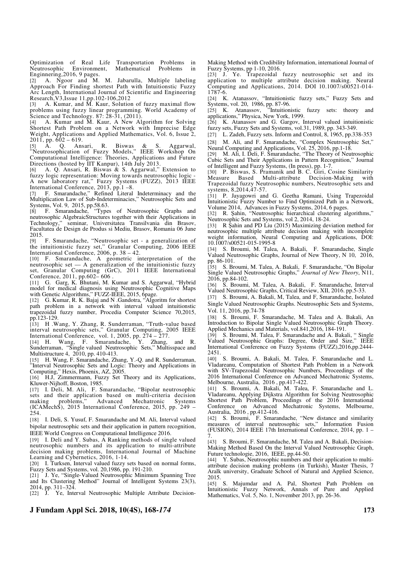Optimization of Real Life Transportation Problems in Neutrosophic Environment, Mathematical Problems in Enginnering, 2016, 9 pages.

[2] A. Ngoor and M. M. Jabarulla, Multiple labeling Approach For Finding shortest Path with Intuitionstic Fuzzy Arc Length, International Journal of Scientific and Engineering Research,V3,Issue 11,pp.102-106,2012

[3] A. Kumar, and M. Kaur, Solution of fuzzy maximal flow problems using fuzzy linear programming. World Academy of Science and Technology. 87: 28-31, (2011).

[4] A. Kumar and M. Kaur, A New Algorithm for Solving Shortest Path Problem on a Network with Imprecise Edge Weight, Applications and Applied Mathematics, Vol. 6, Issue 2,  $2011$ , pp.  $602 - 619$ .

[5] A. Q. Ansari, R. Biswas & S. Aggarwal, "Neutrosophication of Fuzzy Models," IEEE Workshop On Computational Intelligence: Theories, Applications and Future Directions (hosted by IIT Kanpur), 14th July 2013.

[6] A. Q. Ansari, R. Biswas & S. Aggarwal," Extension to fuzzy logic representation: Moving towards neutrosophic logic - A new laboratory rat," Fuzzy Systems (FUZZ), 2013 IEEE International Conference, 2013, pp.1 –8.

[7] F. Smarandache," Refined Literal Indeterminacy and the Multiplication Law of Sub-Indeterminacies," Neutrosophic Sets and Systems, Vol. 9, 2015, pp.58.63.

[8] F. Smarandache, "Types of Neutrosophic Graphs and neutrosophic AlgebraicStructures together with their Applications in Technology," seminar, Universitatea Transilvania din Brasov, Facultatea de Design de Produs si Mediu, Brasov, Romania 06 June 2015.

[9] F. Smarandache, "Neutrosophic set - a generalization of the intuitionistic fuzzy set," Granular Computing, 2006 IEEE International Conference, 2006, p. 38 – 42.

[10] F. Smarandache, A geometric interpretation of the neutrosophic set — A generalization of the intuitionistic fuzzy set, Granular Computing (GrC), 2011 IEEE International Conference, 2011, pp.602– 606 .

[11] G. Garg, K. Bhutani, M. Kumar and S. Aggarwal, "Hybrid model for medical diagnosis using Neutrosophic Cognitive Maps with Genetic Algorithms," FUZZ-IEEE, 2015, 6page.

[12] G. Kumar, R. K. Bajaj and N .Gandotra, "Algoritm for shortest path problem in a network with interval valued intuitionstic trapezoidal fuzzy number, Procedia Computer Science 70,2015, pp.123-129.

[13] H .Wang, Y. Zhang, R. Sunderraman, "Truth-value based interval neutrosophic sets," Granular Computing, 2005 IEEE International Conference, vol. 1, 2005, pp. 274 – 277.

[14] H. Wang, F. Smarandache, Y. Zhang, and R. Sunderraman, "Single valued Neutrosophic Sets," Multisspace and Multistructure 4, 2010, pp. 410-413.

[15] H. Wang, F. Smarandache, Zhang, Y.-Q. and R. Sunderraman, "Interval Neutrosophic Sets and Logic: Theory and Applications in Computing," Hexis, Phoenix, AZ, 2005.

[16] H.J, Zimmermann, Fuzzy Set Theory and its Applications, Kluwer-Nijhoff, Boston, 1985.

[17] I. Deli, M. Ali, F. Smarandache, "Bipolar neutrosophic sets and their application based on multi-criteria decision making problems," Advanced Mechatronic Systems (ICAMechS), 2015 International Conference, 2015, pp. 249 –  $254.$ 

[18] I. Deli, S. Yusuf, F. Smarandache and M. Ali, Interval valued bipolar neutrosophic sets and their application in pattern recognition, IEEE World Congress on Computational Intelligence 2016.

[19] I. Deli and Y. Subas, A Ranking methods of single valued neutrosophic numbers and its application to multi-attribute decision making problems, International Journal of Machine Learning and Cybernetics, 2016, 1-14.

[20] I. Turksen, Interval valued fuzzy sets based on normal forms, Fuzzy Sets and Systems, vol. 20,1986, pp. 191-210.

[21] J. Ye, "Single-Valued Neutrosophic Minimum Spanning Tree and Its Clustering Method" Journal of Intelligent Systems 23(3), 2014, pp. 311–324.

[22] J. Ye, Interval Neutrosophic Multiple Attribute Decision-

## **J Fundam Appl Sci. 2018, 10(4S), 168-***174* **173**

Making Method with Credibility Information, international Journal of Fuzzy Systems, pp 1-10, 2016.

[23] J. Ye. Trapezoidal fuzzy neutrosophic set and its application to multiple attribute decision making. Neural Computing and Applications, 2014. DOI 10.1007/s00521-014- 1787-6.

[24] K. Atanassov, "Intuitionistic fuzzy sets," Fuzzy Sets and Systems, vol. 20, 1986, pp. 87-96.

[25] K. Atanassov, "Intuitionistic fuzzy sets: theory and [25] K. Atanassov, "Intuitionistic applications," Physica, New York, 1999.

[26] K. Atanassov and G. Gargov, Interval valued intuitionistic fuzzy sets, Fuzzy Sets and Systems, vol.31, 1989, pp. 343-349.

[27] L. Zadeh, Fuzzy sets. Inform and Control, 8, 1965, pp.338-353 [28] M. Ali, and F. Smarandache, "Complex Neutrosophic Set,"

Neural Computing and Applications, Vol. 25, 2016, pp.1-18.

[29] M. Ali, I. Deli, F. Smarandache, "The Theory of Neutrosophic Cubic Sets and Their Applications in Pattern Recognition," Journal of Intelligent and Fuzzy Systems, (In press), pp. 1-7.

[30] P. Biswas, S. Pramanik and B. C. Giri, Cosine Similarity Measure Based Multi-attribute Decision-Making with Trapezoidal fuzzy Neutrosophic numbers, Neutrosophic sets and systems, 8,2014,47-57.

[31] P. Jayagowri and G. Geetha Ramani, Using Trapezoidal Intuitionistic Fuzzy Number to Find Optimized Path in a Network, Volume 2014, Advances in Fuzzy Systems, 2014, 6 pages.

[32] R. Şahin, "Neutrosophic hierarchical clustering algorithms," Neutrosophic Sets and Systems, vol 2, 2014, 18-24.

[33] R Şahin and PD Liu (2015) Maximizing deviation method for neutrosophic multiple attribute decision making with incomplete weight information, Neural Computing and Applications, DOI: 10.1007/s00521-015-1995-8

[34] S. Broumi, M. Talea, A. Bakali, F. Smarandache, Single Valued Neutrosophic Graphs, Journal of New Theory, N 10, 2016, pp. 86-101.

[35] S. Broumi, M. Talea, A. Bakali, F. Smarandache, "On Bipolar Single Valued Neutrosophic Graphs," *Journal of New Theory*, N11, 2016, pp.84-102.

[36] S. Broumi, M. Talea, A. Bakali, F. Smarandache, Interval Valued Neutrosophic Graphs, Critical Review, XII, 2016. pp.5-33.

[37] S. Broumi, A. Bakali, M, Talea, and F, Smarandache, Isolated Single Valued Neutrosophic Graphs. Neutrosophic Sets and Systems, Vol. 11, 2016, pp.74-78

[38] S. Broumi, F. Smarandache, M. Talea and A. Bakali, An Introduction to Bipolar Single Valued Neutrosophic Graph Theory. Applied Mechanics and Materials, vol.841,2016, 184-191.

[39] S. Broumi, M. Talea, F. Smarandache and A. Bakali, " Single Valued Neutrosophic Graphs: Degree, Order and Size," IEEE International Conference on Fuzzy Systems (FUZZ),2016,pp.2444- 2451.

[40] S. Broumi, A. Bakali, M. Talea, F. Smarandache and L. Vladareanu, Computation of Shortest Path Problem in a Network with SV-Trapezoidal Neutrosophic Numbers, Proceedings of the 2016 International Conference on Advanced Mechatronic Systems, Melbourne, Australia, 2016 , pp.417-422.

[41] S. Broumi, A. Bakali, M. Talea, F. Smarandache and L. Vladareanu, Applying Dijkstra Algorithm for Solving Neutrosophic Shortest Path Problem, Proceedings of the 2016 International Conference on Advanced Mechatronic Systems, Melbourne, Australia, 2016 , pp.412-416.

[42] S. Broumi, F. Smarandache, "New distance and similarity measures of interval neutrosophic sets," Information Fusion (FUSION), 2014 IEEE 17th International Conference, 2014, pp. 1 – 7.

[43] S. Broumi, F. Smarandache, M. Talea and A. Bakali, Decision-Making Method Based On the Interval Valued Neutrosophic Graph, Future technologie, 2016, IEEE, pp.44-50.

[44] Y. Subas, Neutrosophic numbers and their application to multiattribute decision making problems (in Turkish), Master Thesis, 7 Aralk university, Graduate School of Natural and Applied Science, 2015.

[45] S. Majumdar and A. Pal, Shortest Path Problem on Intuitionistic Fuzzy Network, Annals of Pure and Applied Mathematics, Vol. 5, No. 1, November 2013, pp. 26-36.